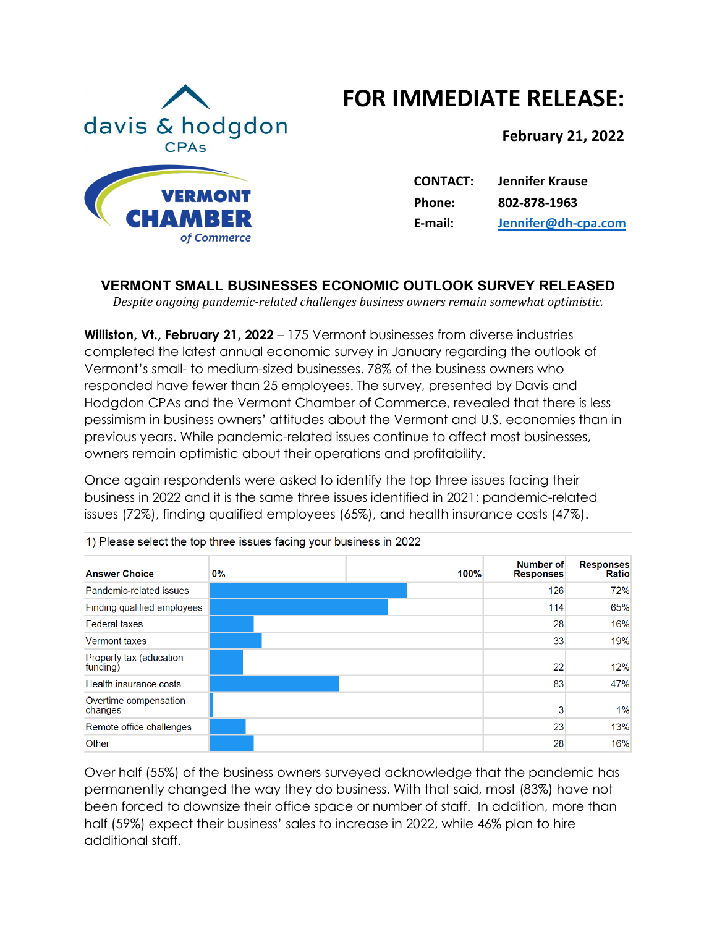# **FOR IMMEDIATE RELEASE:**



**February 21, 2022**

| <b>CONTACT:</b> | <b>Jennifer Krause</b> |
|-----------------|------------------------|
| Phone:          | 802-878-1963           |
| E-mail:         | Jennifer@dh-cpa.com    |

# **VERMONT SMALL BUSINESSES ECONOMIC OUTLOOK SURVEY RELEASED**

*Despite ongoing pandemic-related challenges business owners remain somewhat optimistic.* 

**Williston, Vt., February 21, 2022** – 175 Vermont businesses from diverse industries completed the latest annual economic survey in January regarding the outlook of Vermont's small- to medium-sized businesses. 78% of the business owners who responded have fewer than 25 employees. The survey, presented by Davis and Hodgdon CPAs and the Vermont Chamber of Commerce, revealed that there is less pessimism in business owners' attitudes about the Vermont and U.S. economies than in previous years. While pandemic-related issues continue to affect most businesses, owners remain optimistic about their operations and profitability.

Once again respondents were asked to identify the top three issues facing their business in 2022 and it is the same three issues identified in 2021: pandemic-related issues (72%), finding qualified employees (65%), and health insurance costs (47%).

| <b>Answer Choice</b>                | $0\%$ | 100% | Number of<br><b>Responses</b> | <b>Responses</b><br><b>Ratio</b> |
|-------------------------------------|-------|------|-------------------------------|----------------------------------|
| Pandemic-related issues             |       |      | 126                           | 72%                              |
| Finding qualified employees         |       |      | 114                           | 65%                              |
| <b>Federal taxes</b>                |       |      | 28                            | 16%                              |
| <b>Vermont taxes</b>                |       |      | 33                            | 19%                              |
| Property tax (education<br>funding) |       |      | 22                            | 12%                              |
| Health insurance costs              |       |      | 83                            | 47%                              |
| Overtime compensation<br>changes    |       |      | 3                             | 1%                               |
| Remote office challenges            |       |      | 23                            | 13%                              |
| Other                               |       |      | 28                            | 16%                              |

1) Please select the top three issues facing your business in 2022

Over half (55%) of the business owners surveyed acknowledge that the pandemic has permanently changed the way they do business. With that said, most (83%) have not been forced to downsize their office space or number of staff. In addition, more than half (59%) expect their business' sales to increase in 2022, while 46% plan to hire additional staff.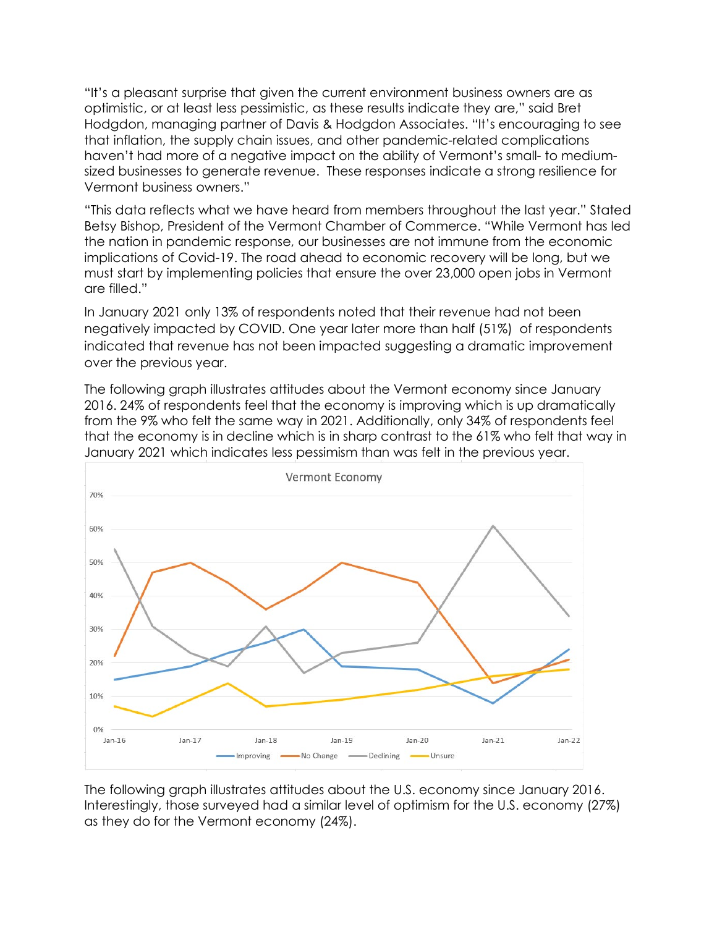"It's a pleasant surprise that given the current environment business owners are as optimistic, or at least less pessimistic, as these results indicate they are," said Bret Hodgdon, managing partner of Davis & Hodgdon Associates. "It's encouraging to see that inflation, the supply chain issues, and other pandemic-related complications haven't had more of a negative impact on the ability of Vermont's small- to mediumsized businesses to generate revenue. These responses indicate a strong resilience for Vermont business owners."

"This data reflects what we have heard from members throughout the last year." Stated Betsy Bishop, President of the Vermont Chamber of Commerce. "While Vermont has led the nation in pandemic response, our businesses are not immune from the economic implications of Covid-19. The road ahead to economic recovery will be long, but we must start by implementing policies that ensure the over 23,000 open jobs in Vermont are filled."

In January 2021 only 13% of respondents noted that their revenue had not been negatively impacted by COVID. One year later more than half (51%) of respondents indicated that revenue has not been impacted suggesting a dramatic improvement over the previous year.

The following graph illustrates attitudes about the Vermont economy since January 2016. 24% of respondents feel that the economy is improving which is up dramatically from the 9% who felt the same way in 2021. Additionally, only 34% of respondents feel that the economy is in decline which is in sharp contrast to the 61% who felt that way in January 2021 which indicates less pessimism than was felt in the previous year.



The following graph illustrates attitudes about the U.S. economy since January 2016. Interestingly, those surveyed had a similar level of optimism for the U.S. economy (27%) as they do for the Vermont economy (24%).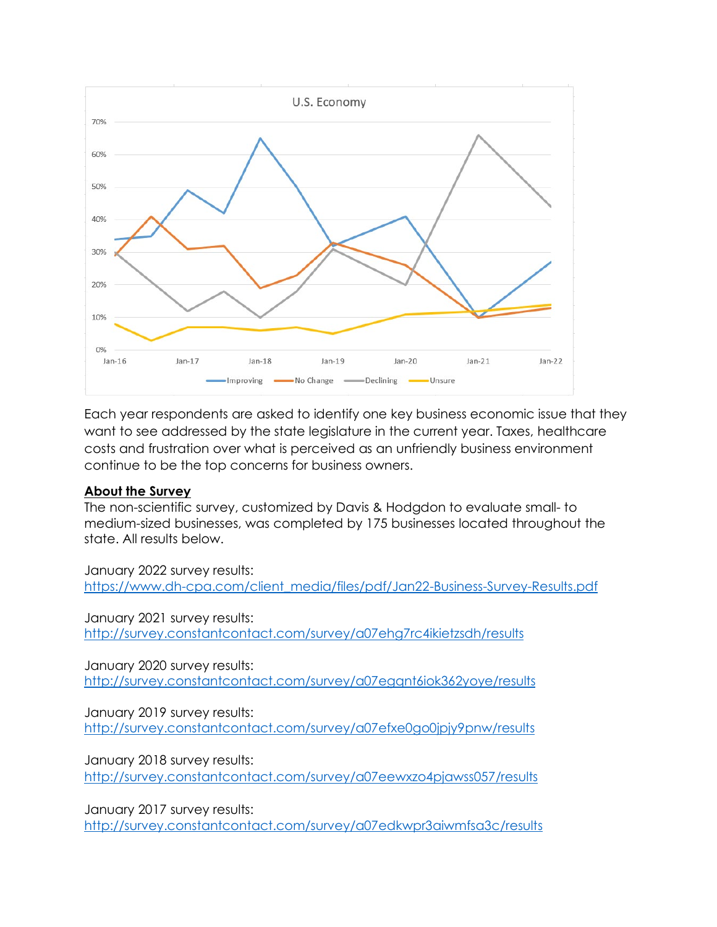

Each year respondents are asked to identify one key business economic issue that they want to see addressed by the state legislature in the current year. Taxes, healthcare costs and frustration over what is perceived as an unfriendly business environment continue to be the top concerns for business owners.

#### **About the Survey**

The non-scientific survey, customized by Davis & Hodgdon to evaluate small- to medium-sized businesses, was completed by 175 businesses located throughout the state. All results below.

January 2022 survey results: [https://www.dh-cpa.com/client\\_media/files/pdf/Jan22-Business-Survey-Results.pdf](https://www.dh-cpa.com/client_media/files/pdf/Jan22-Business-Survey-Results.pdf)

January 2021 survey results: <http://survey.constantcontact.com/survey/a07ehg7rc4ikietzsdh/results>

January 2020 survey results: <http://survey.constantcontact.com/survey/a07egqnt6iok362yoye/results>

January 2019 survey results: <http://survey.constantcontact.com/survey/a07efxe0go0jpjy9pnw/results>

January 2018 survey results:

<http://survey.constantcontact.com/survey/a07eewxzo4pjawss057/results>

January 2017 survey results:

<http://survey.constantcontact.com/survey/a07edkwpr3aiwmfsa3c/results>